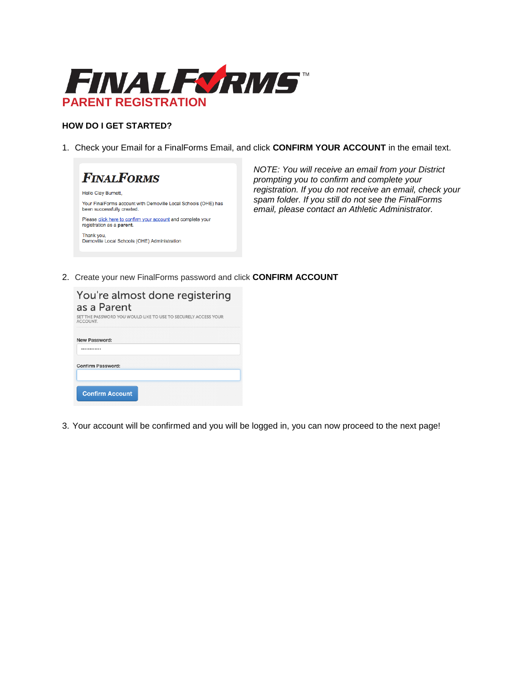

## **HOW DO I GET STARTED?**

1. Check your Email for a FinalForms Email, and click **CONFIRM YOUR ACCOUNT** in the email text.



 *NOTE: You will receive an email from your District prompting you to confirm and complete your registration. If you do not receive an email, check your spam folder. If you still do not see the FinalForms email, please contact an Athletic Administrator.*

2. Create your new FinalForms password and click **CONFIRM ACCOUNT**

| You're almost done registering<br>as a Parent<br>SET THE PASSWORD YOU WOULD LIKE TO USE TO SECURELY ACCESS YOUR<br>ACCOUNT. |
|-----------------------------------------------------------------------------------------------------------------------------|
| New Password:                                                                                                               |
| <b>Confirm Password:</b>                                                                                                    |
| <b>Confirm Account</b>                                                                                                      |

3. Your account will be confirmed and you will be logged in, you can now proceed to the next page!